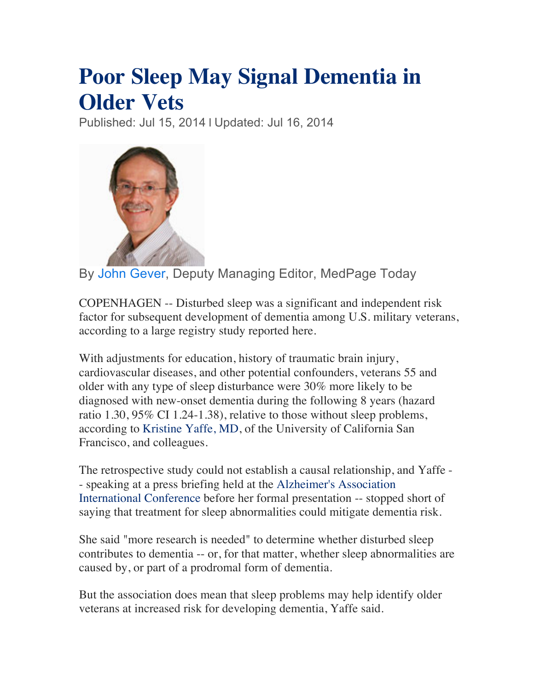## **Poor Sleep May Signal Dementia in Older Vets**

Published: Jul 15, 2014 | Updated: Jul 16, 2014



By John Gever, Deputy Managing Editor, MedPage Today

COPENHAGEN -- Disturbed sleep was a significant and independent risk factor for subsequent development of dementia among U.S. military veterans, according to a large registry study reported here.

With adjustments for education, history of traumatic brain injury, cardiovascular diseases, and other potential confounders, veterans 55 and older with any type of sleep disturbance were 30% more likely to be diagnosed with new-onset dementia during the following 8 years (hazard ratio 1.30, 95% CI 1.24-1.38), relative to those without sleep problems, according to Kristine Yaffe, MD, of the University of California San Francisco, and colleagues.

The retrospective study could not establish a causal relationship, and Yaffe - - speaking at a press briefing held at the Alzheimer's Association International Conference before her formal presentation -- stopped short of saying that treatment for sleep abnormalities could mitigate dementia risk.

She said "more research is needed" to determine whether disturbed sleep contributes to dementia -- or, for that matter, whether sleep abnormalities are caused by, or part of a prodromal form of dementia.

But the association does mean that sleep problems may help identify older veterans at increased risk for developing dementia, Yaffe said.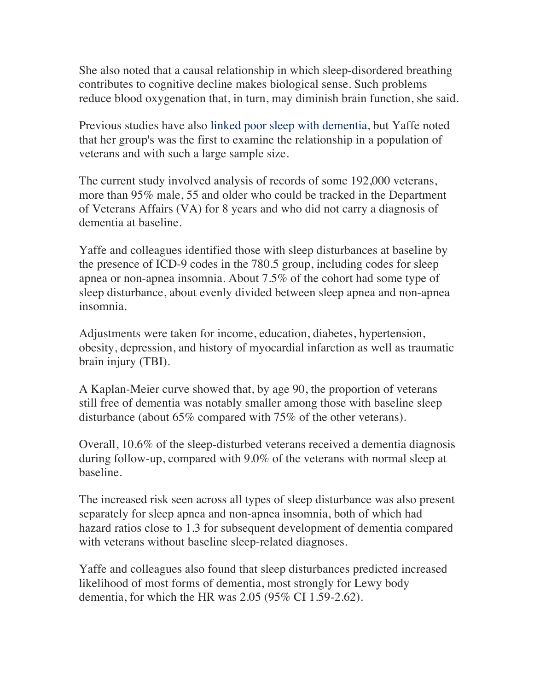She also noted that a causal relationship in which sleep-disordered breathing contributes to cognitive decline makes biological sense. Such problems reduce blood oxygenation that, in turn, may diminish brain function, she said.

Previous studies have also linked poor sleep with dementia, but Yaffe noted that her group's was the first to examine the relationship in a population of veterans and with such a large sample size.

The current study involved analysis of records of some 192,000 veterans, more than 95% male, 55 and older who could be tracked in the Department of Veterans Affairs (VA) for 8 years and who did not carry a diagnosis of dementia at baseline.

Yaffe and colleagues identified those with sleep disturbances at baseline by the presence of ICD-9 codes in the 780.5 group, including codes for sleep apnea or non-apnea insomnia. About 7.5% of the cohort had some type of sleep disturbance, about evenly divided between sleep apnea and non-apnea insomnia.

Adjustments were taken for income, education, diabetes, hypertension, obesity, depression, and history of myocardial infarction as well as traumatic brain injury (TBI).

A Kaplan-Meier curve showed that, by age 90, the proportion of veterans still free of dementia was notably smaller among those with baseline sleep disturbance (about 65% compared with 75% of the other veterans).

Overall, 10.6% of the sleep-disturbed veterans received a dementia diagnosis during follow-up, compared with 9.0% of the veterans with normal sleep at baseline.

The increased risk seen across all types of sleep disturbance was also present separately for sleep apnea and non-apnea insomnia, both of which had hazard ratios close to 1.3 for subsequent development of dementia compared with veterans without baseline sleep-related diagnoses.

Yaffe and colleagues also found that sleep disturbances predicted increased likelihood of most forms of dementia, most strongly for Lewy body dementia, for which the HR was 2.05 (95% CI 1.59-2.62).